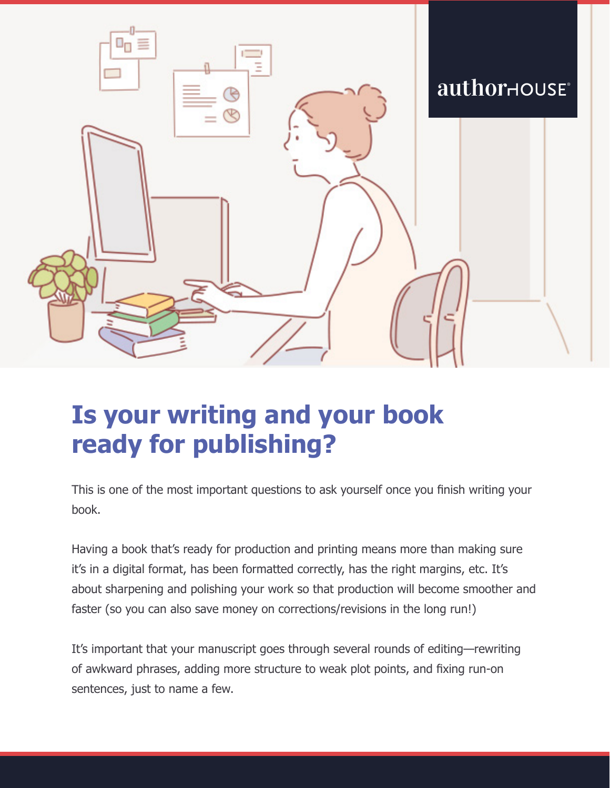

# **Is your writing and your book ready for publishing?**

This is one of the most important questions to ask yourself once you finish writing your book.

Having a book that's ready for production and printing means more than making sure it's in a digital format, has been formatted correctly, has the right margins, etc. It's about sharpening and polishing your work so that production will become smoother and faster (so you can also save money on corrections/revisions in the long run!)

It's important that your manuscript goes through several rounds of editing—rewriting of awkward phrases, adding more structure to weak plot points, and fixing run-on sentences, just to name a few.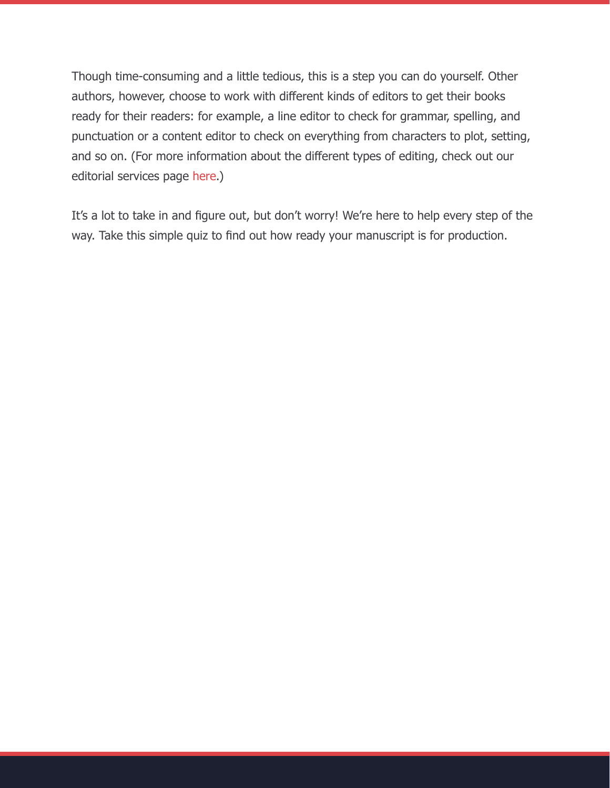Though time-consuming and a little tedious, this is a step you can do yourself. Other authors, however, choose to work with different kinds of editors to get their books ready for their readers: for example, a line editor to check for grammar, spelling, and punctuation or a content editor to check on everything from characters to plot, setting, and so on. (For more information about the different types of editing, check out our editorial services page [here](https://www.authorhouse.com/en/catalog/packages-and-services/editorial-services).)

It's a lot to take in and figure out, but don't worry! We're here to help every step of the way. Take this simple quiz to find out how ready your manuscript is for production.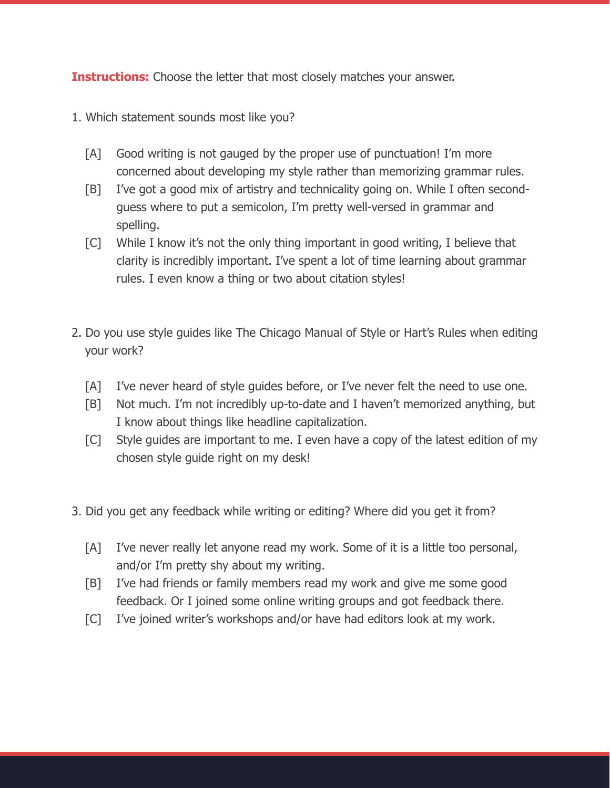**Instructions:** Choose the letter that most closely matches your answer.

- 1. Which statement sounds most like you?
	- [A] Good writing is not gauged by the proper use of punctuation! I'm more concerned about developing my style rather than memorizing grammar rules.
	- [B] I've got a good mix of artistry and technicality going on. While I often secondguess where to put a semicolon, I'm pretty well-versed in grammar and spelling.
	- [C] While I know it's not the only thing important in good writing, I believe that clarity is incredibly important. I've spent a lot of time learning about grammar rules. I even know a thing or two about citation styles!
- 2. Do you use style guides like The Chicago Manual of Style or Hart's Rules when editing your work?
	- [A] I've never heard of style quides before, or I've never felt the need to use one.
	- [B] Not much. I'm not incredibly up-to-date and I haven't memorized anything, but I know about things like headline capitalization.
	- [C] Style guides are important to me. I even have a copy of the latest edition of my chosen style guide right on my desk!
- 3. Did you get any feedback while writing or editing? Where did you get it from?
	- [A] I've never really let anyone read my work. Some of it is a little too personal, and/or I'm pretty shy about my writing.
	- [B] I've had friends or family members read my work and give me some good feedback. Or I joined some online writing groups and got feedback there.
	- [C] I've joined writer's workshops and/or have had editors look at my work.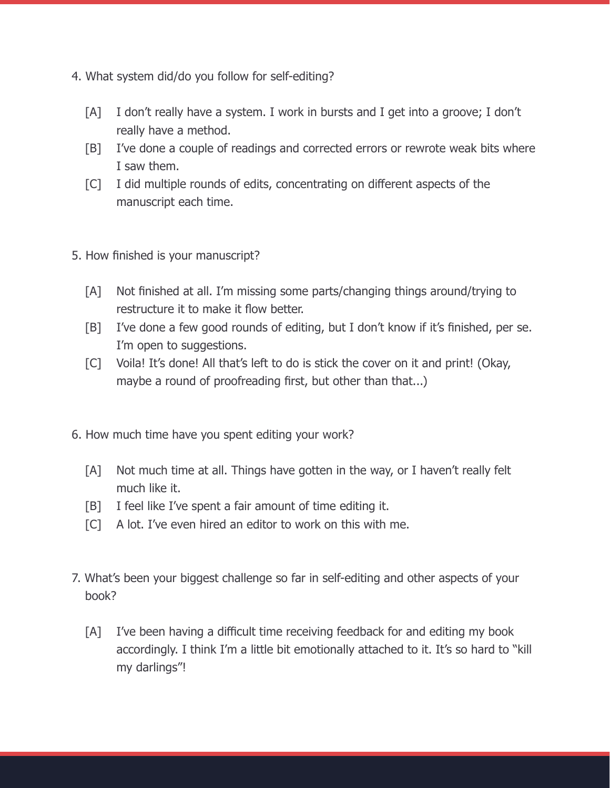- 4. What system did/do you follow for self-editing?
	- [A] I don't really have a system. I work in bursts and I get into a groove; I don't really have a method.
	- [B] I've done a couple of readings and corrected errors or rewrote weak bits where I saw them.
	- [C] I did multiple rounds of edits, concentrating on different aspects of the manuscript each time.
- 5. How finished is your manuscript?
	- [A] Not finished at all. I'm missing some parts/changing things around/trying to restructure it to make it flow better.
	- [B] I've done a few good rounds of editing, but I don't know if it's finished, per se. I'm open to suggestions.
	- [C] Voila! It's done! All that's left to do is stick the cover on it and print! (Okay, maybe a round of proofreading first, but other than that...)
- 6. How much time have you spent editing your work?
	- [A] Not much time at all. Things have gotten in the way, or I haven't really felt much like it.
	- [B] I feel like I've spent a fair amount of time editing it.
	- [C] A lot. I've even hired an editor to work on this with me.
- 7. What's been your biggest challenge so far in self-editing and other aspects of your book?
	- [A] I've been having a difficult time receiving feedback for and editing my book accordingly. I think I'm a little bit emotionally attached to it. It's so hard to "kill my darlings"!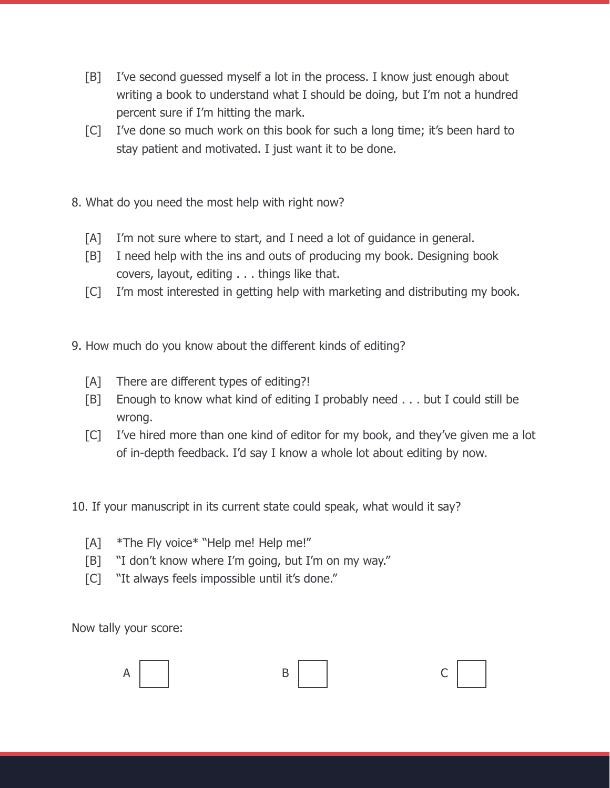- [B] I've second guessed myself a lot in the process. I know just enough about writing a book to understand what I should be doing, but I'm not a hundred percent sure if I'm hitting the mark.
- [C] I've done so much work on this book for such a long time; it's been hard to stay patient and motivated. I just want it to be done.
- 8. What do you need the most help with right now?
	- [A] I'm not sure where to start, and I need a lot of quidance in general.
	- [B] I need help with the ins and outs of producing my book. Designing book covers, layout, editing . . . things like that.
	- [C] I'm most interested in getting help with marketing and distributing my book.
- 9. How much do you know about the different kinds of editing?
	- [A] There are different types of editing?!
	- [B] Enough to know what kind of editing I probably need . . . but I could still be wrong.
	- [C] I've hired more than one kind of editor for my book, and they've given me a lot of in-depth feedback. I'd say I know a whole lot about editing by now.
- 10. If your manuscript in its current state could speak, what would it say?
	- [A] \*The Fly voice\* "Help me! Help me!"
	- [B] "I don't know where I'm going, but I'm on my way."
	- [C] "It always feels impossible until it's done."

Now tally your score:

|--|--|--|--|--|--|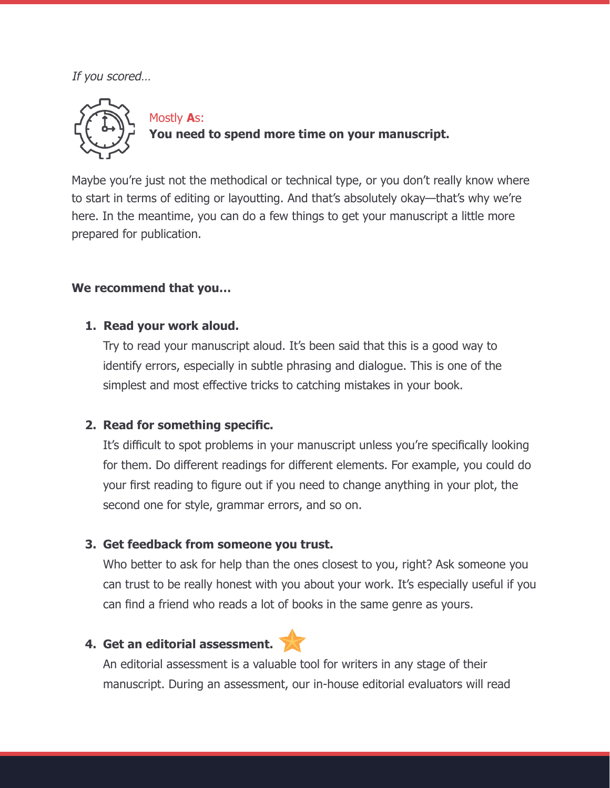*If you scored…*



Maybe you're just not the methodical or technical type, or you don't really know where to start in terms of editing or layoutting. And that's absolutely okay—that's why we're here. In the meantime, you can do a few things to get your manuscript a little more prepared for publication.

# **We recommend that you…**

# **1. Read your work aloud.**

Try to read your manuscript aloud. It's been said that this is a good way to identify errors, especially in subtle phrasing and dialogue. This is one of the simplest and most effective tricks to catching mistakes in your book.

# **2. Read for something specific.**

It's difficult to spot problems in your manuscript unless you're specifically looking for them. Do different readings for different elements. For example, you could do your first reading to figure out if you need to change anything in your plot, the second one for style, grammar errors, and so on.

# **3. Get feedback from someone you trust.**

Who better to ask for help than the ones closest to you, right? Ask someone you can trust to be really honest with you about your work. It's especially useful if you can find a friend who reads a lot of books in the same genre as yours.

# **4. Get an editorial assessment.**



An editorial assessment is a valuable tool for writers in any stage of their manuscript. During an assessment, our in-house editorial evaluators will read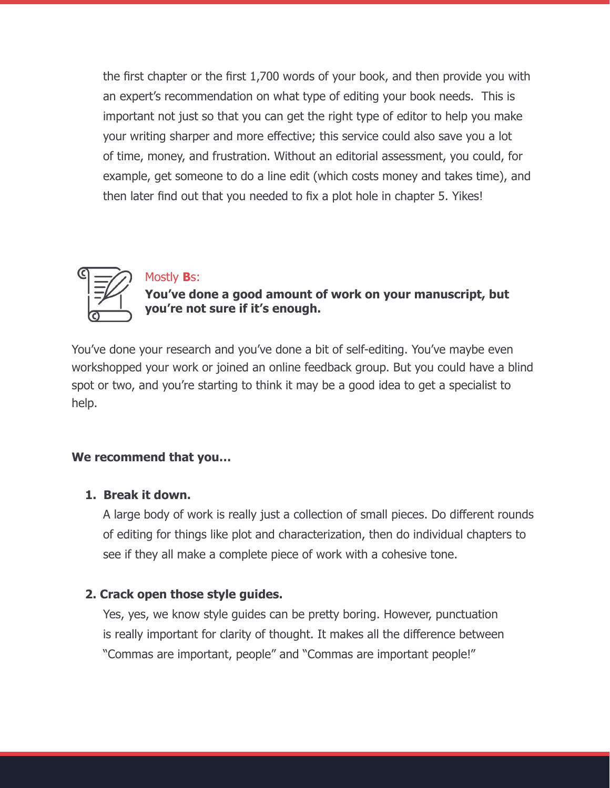the first chapter or the first 1,700 words of your book, and then provide you with an expert's recommendation on what type of editing your book needs. This is important not just so that you can get the right type of editor to help you make your writing sharper and more effective; this service could also save you a lot of time, money, and frustration. Without an editorial assessment, you could, for example, get someone to do a line edit (which costs money and takes time), and then later find out that you needed to fix a plot hole in chapter 5. Yikes!



#### Mostly **B**s:

**You've done a good amount of work on your manuscript, but you're not sure if it's enough.**

You've done your research and you've done a bit of self-editing. You've maybe even workshopped your work or joined an online feedback group. But you could have a blind spot or two, and you're starting to think it may be a good idea to get a specialist to help.

#### **We recommend that you…**

#### **1. Break it down.**

A large body of work is really just a collection of small pieces. Do different rounds of editing for things like plot and characterization, then do individual chapters to see if they all make a complete piece of work with a cohesive tone.

#### **2. Crack open those style guides.**

Yes, yes, we know style guides can be pretty boring. However, punctuation is really important for clarity of thought. It makes all the difference between "Commas are important, people" and "Commas are important people!"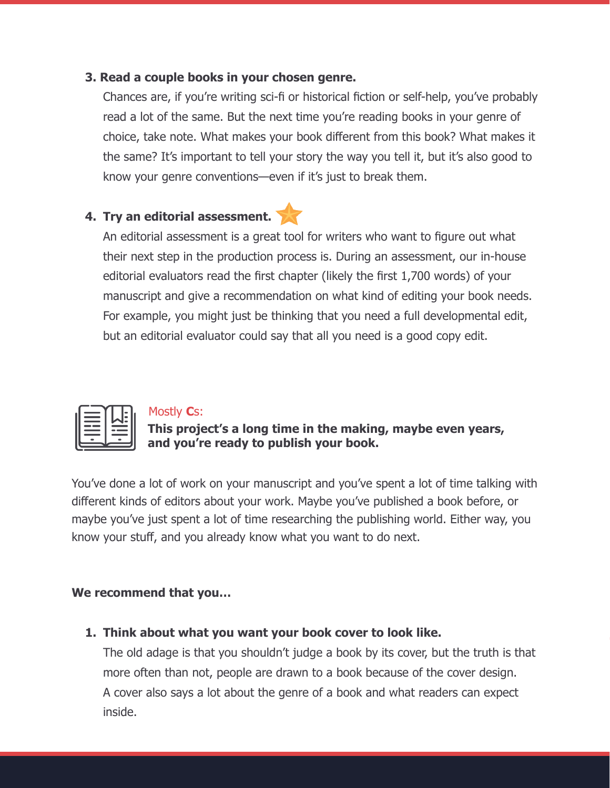# **3. Read a couple books in your chosen genre.**

Chances are, if you're writing sci-fi or historical fiction or self-help, you've probably read a lot of the same. But the next time you're reading books in your genre of choice, take note. What makes your book different from this book? What makes it the same? It's important to tell your story the way you tell it, but it's also good to know your genre conventions—even if it's just to break them.

# **4. Try an editorial assessment.**

An editorial assessment is a great tool for writers who want to figure out what their next step in the production process is. During an assessment, our in-house editorial evaluators read the first chapter (likely the first 1,700 words) of your manuscript and give a recommendation on what kind of editing your book needs. For example, you might just be thinking that you need a full developmental edit, but an editorial evaluator could say that all you need is a good copy edit.

# Mostly **C**s:

**This project's a long time in the making, maybe even years, and you're ready to publish your book.**

You've done a lot of work on your manuscript and you've spent a lot of time talking with different kinds of editors about your work. Maybe you've published a book before, or maybe you've just spent a lot of time researching the publishing world. Either way, you know your stuff, and you already know what you want to do next.

# **We recommend that you…**

# **1. Think about what you want your book cover to look like.**

The old adage is that you shouldn't judge a book by its cover, but the truth is that more often than not, people are drawn to a book because of the cover design. A cover also says a lot about the genre of a book and what readers can expect inside.